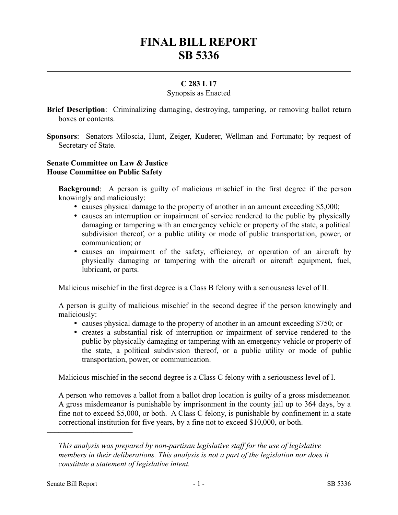# **FINAL BILL REPORT SB 5336**

# **C 283 L 17**

## Synopsis as Enacted

- **Brief Description**: Criminalizing damaging, destroying, tampering, or removing ballot return boxes or contents.
- **Sponsors**: Senators Miloscia, Hunt, Zeiger, Kuderer, Wellman and Fortunato; by request of Secretary of State.

## **Senate Committee on Law & Justice House Committee on Public Safety**

**Background**: A person is guilty of malicious mischief in the first degree if the person knowingly and maliciously:

- causes physical damage to the property of another in an amount exceeding \$5,000;
- causes an interruption or impairment of service rendered to the public by physically damaging or tampering with an emergency vehicle or property of the state, a political subdivision thereof, or a public utility or mode of public transportation, power, or communication; or
- causes an impairment of the safety, efficiency, or operation of an aircraft by physically damaging or tampering with the aircraft or aircraft equipment, fuel, lubricant, or parts.

Malicious mischief in the first degree is a Class B felony with a seriousness level of II.

A person is guilty of malicious mischief in the second degree if the person knowingly and maliciously:

- causes physical damage to the property of another in an amount exceeding \$750; or
- creates a substantial risk of interruption or impairment of service rendered to the public by physically damaging or tampering with an emergency vehicle or property of the state, a political subdivision thereof, or a public utility or mode of public transportation, power, or communication.

Malicious mischief in the second degree is a Class C felony with a seriousness level of I.

A person who removes a ballot from a ballot drop location is guilty of a gross misdemeanor. A gross misdemeanor is punishable by imprisonment in the county jail up to 364 days, by a fine not to exceed \$5,000, or both. A Class C felony, is punishable by confinement in a state correctional institution for five years, by a fine not to exceed \$10,000, or both.

––––––––––––––––––––––

*This analysis was prepared by non-partisan legislative staff for the use of legislative members in their deliberations. This analysis is not a part of the legislation nor does it constitute a statement of legislative intent.*